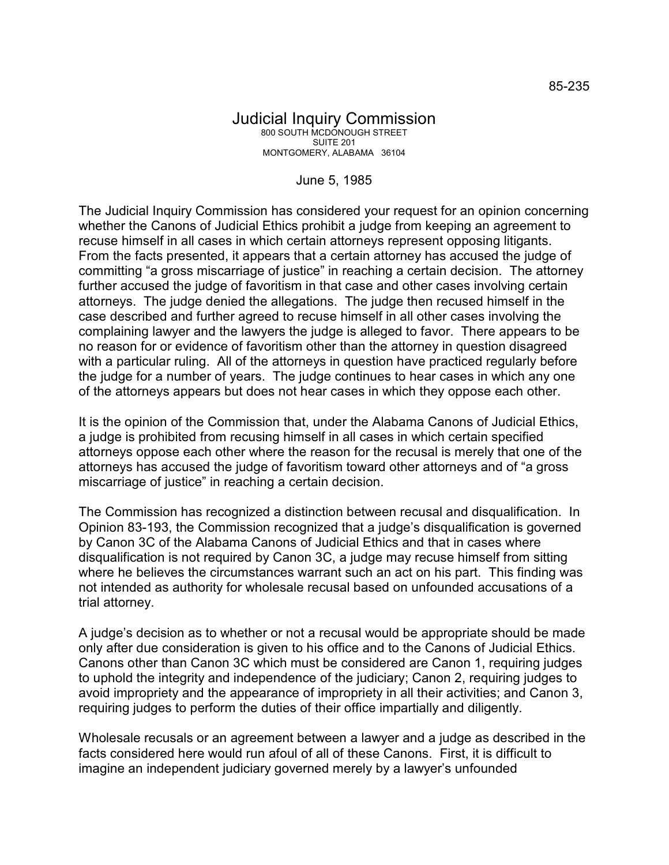June 5, 1985

The Judicial Inquiry Commission has considered your request for an opinion concerning whether the Canons of Judicial Ethics prohibit a judge from keeping an agreement to recuse himself in all cases in which certain attorneys represent opposing litigants. From the facts presented, it appears that a certain attorney has accused the judge of committing "a gross miscarriage of justice" in reaching a certain decision. The attorney further accused the judge of favoritism in that case and other cases involving certain attorneys. The judge denied the allegations. The judge then recused himself in the case described and further agreed to recuse himself in all other cases involving the complaining lawyer and the lawyers the judge is alleged to favor. There appears to be no reason for or evidence of favoritism other than the attorney in question disagreed with a particular ruling. All of the attorneys in question have practiced regularly before the judge for a number of years. The judge continues to hear cases in which any one of the attorneys appears but does not hear cases in which they oppose each other.

It is the opinion of the Commission that, under the Alabama Canons of Judicial Ethics, a judge is prohibited from recusing himself in all cases in which certain specified attorneys oppose each other where the reason for the recusal is merely that one of the attorneys has accused the judge of favoritism toward other attorneys and of "a gross miscarriage of justice" in reaching a certain decision.

The Commission has recognized a distinction between recusal and disqualification. In Opinion 83-193, the Commission recognized that a judge's disqualification is governed by Canon 3C of the Alabama Canons of Judicial Ethics and that in cases where disqualification is not required by Canon 3C, a judge may recuse himself from sitting where he believes the circumstances warrant such an act on his part. This finding was not intended as authority for wholesale recusal based on unfounded accusations of a trial attorney.

A judge's decision as to whether or not a recusal would be appropriate should be made only after due consideration is given to his office and to the Canons of Judicial Ethics. Canons other than Canon 3C which must be considered are Canon 1, requiring judges to uphold the integrity and independence of the judiciary; Canon 2, requiring judges to avoid impropriety and the appearance of impropriety in all their activities; and Canon 3, requiring judges to perform the duties of their office impartially and diligently.

Wholesale recusals or an agreement between a lawyer and a judge as described in the facts considered here would run afoul of all of these Canons. First, it is difficult to imagine an independent judiciary governed merely by a lawyer's unfounded